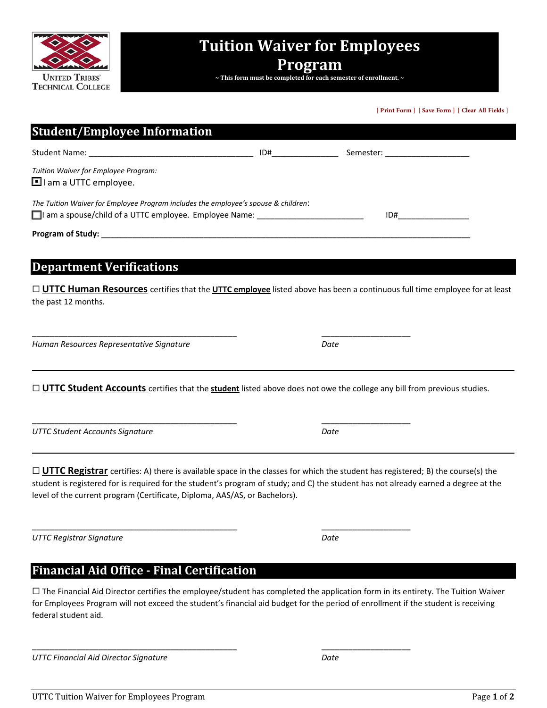

# **Tuition Waiver for Employees**

# **Program**

**~ This form must be completed for each semester of enrollment. ~**

**[ Print Form ] [ Save Form ] [ Clear All Fields ]**

| <b>Student/Employee Information</b>                                                                                                                                                                                                                                                                                                                                |      |  |
|--------------------------------------------------------------------------------------------------------------------------------------------------------------------------------------------------------------------------------------------------------------------------------------------------------------------------------------------------------------------|------|--|
| Student Name: Student Name: Semester: Semester: Semester: Semester: Semester: Semester: Semester: Semester: Semester: Semester: Semester: Semester: Semester: Semester: Semester: Semester: Semester: Semester: Semester: Seme                                                                                                                                     |      |  |
| Tuition Waiver for Employee Program:<br>$\blacksquare$ I am a UTTC employee.                                                                                                                                                                                                                                                                                       |      |  |
| The Tuition Waiver for Employee Program includes the employee's spouse & children:<br>$\Box$ I am a spouse/child of a UTTC employee. Employee Name:                                                                                                                                                                                                                | ID#  |  |
|                                                                                                                                                                                                                                                                                                                                                                    |      |  |
| <b>Department Verifications</b><br>□ UTTC Human Resources certifies that the UTTC employee listed above has been a continuous full time employee for at least                                                                                                                                                                                                      |      |  |
| the past 12 months.                                                                                                                                                                                                                                                                                                                                                |      |  |
| Human Resources Representative Signature                                                                                                                                                                                                                                                                                                                           | Date |  |
| $\Box$ UTTC Student Accounts certifies that the student listed above does not owe the college any bill from previous studies.                                                                                                                                                                                                                                      |      |  |
| <b>UTTC Student Accounts Signature</b>                                                                                                                                                                                                                                                                                                                             | Date |  |
| $\Box$ <b>UTTC Registrar</b> certifies: A) there is available space in the classes for which the student has registered; B) the course(s) the<br>student is registered for is required for the student's program of study; and C) the student has not already earned a degree at the<br>level of the current program (Certificate, Diploma, AAS/AS, or Bachelors). |      |  |
| <b>UTTC Registrar Signature</b>                                                                                                                                                                                                                                                                                                                                    | Date |  |
| <b>Financial Aid Office - Final Certification</b>                                                                                                                                                                                                                                                                                                                  |      |  |

 The Financial Aid Director certifies the employee/student has completed the application form in its entirety. The Tuition Waiver for Employees Program will not exceed the student's financial aid budget for the period of enrollment if the student is receiving federal student aid.

\_\_\_\_\_\_\_\_\_\_\_\_\_\_\_\_\_\_\_\_\_\_\_\_\_\_\_\_\_\_\_\_\_\_\_\_\_\_\_\_\_\_\_\_\_\_ \_\_\_\_\_\_\_\_\_\_\_\_\_\_\_\_\_\_\_\_

*UTTC Financial Aid Director Signature Date*